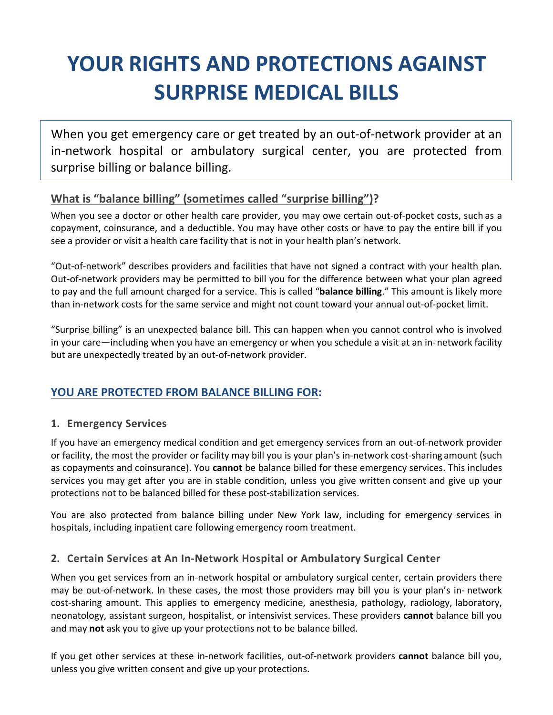# **YOUR RIGHTS AND PROTECTIONS AGAINST SURPRISE MEDICAL BILLS**

When you get emergency care or get treated by an out-of-network provider at an in-network hospital or ambulatory surgical center, you are protected from surprise billing or balance billing.

#### **What is "balance billing" (sometimes called "surprise billing")?**

When you see a doctor or other health care provider, you may owe certain out-of-pocket costs, such as a copayment, coinsurance, and a deductible. You may have other costs or have to pay the entire bill if you see a provider or visit a health care facility that is not in your health plan's network.

"Out-of-network" describes providers and facilities that have not signed a contract with your health plan. Out-of-network providers may be permitted to bill you for the difference between what your plan agreed to pay and the full amount charged for a service. This is called "**balance billing**." This amount is likely more than in-network costs for the same service and might not count toward your annual out-of-pocket limit.

"Surprise billing" is an unexpected balance bill. This can happen when you cannot control who is involved in your care—including when you have an emergency or when you schedule a visit at an in-network facility but are unexpectedly treated by an out-of-network provider.

## **YOU ARE PROTECTED FROM BALANCE BILLING FOR:**

#### **1. Emergency Services**

If you have an emergency medical condition and get emergency services from an out-of-network provider or facility, the most the provider or facility may bill you is your plan's in-network cost-sharing amount (such as copayments and coinsurance). You **cannot** be balance billed for these emergency services. This includes services you may get after you are in stable condition, unless you give written consent and give up your protections not to be balanced billed for these post-stabilization services.

You are also protected from balance billing under New York law, including for emergency services in hospitals, including inpatient care following emergency room treatment.

#### **2. Certain Services at An In-Network Hospital or Ambulatory Surgical Center**

When you get services from an in-network hospital or ambulatory surgical center, certain providers there may be out-of-network. In these cases, the most those providers may bill you is your plan's in- network cost-sharing amount. This applies to emergency medicine, anesthesia, pathology, radiology, laboratory, neonatology, assistant surgeon, hospitalist, or intensivist services. These providers **cannot** balance bill you and may **not** ask you to give up your protections not to be balance billed.

If you get other services at these in-network facilities, out-of-network providers **cannot** balance bill you, unless you give written consent and give up your protections.